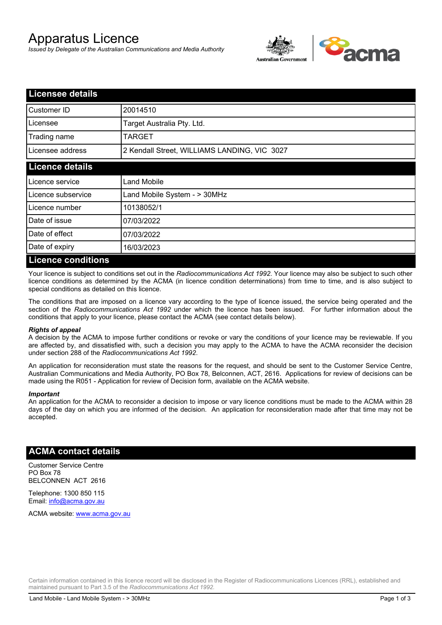# Apparatus Licence

*Issued by Delegate of the Australian Communications and Media Authority*



| <b>Licensee details</b>   |                                              |  |
|---------------------------|----------------------------------------------|--|
| Customer ID               | 20014510                                     |  |
| Licensee                  | Target Australia Pty. Ltd.                   |  |
| Trading name              | TARGET                                       |  |
| Licensee address          | 2 Kendall Street, WILLIAMS LANDING, VIC 3027 |  |
| <b>Licence details</b>    |                                              |  |
| Licence service           | Land Mobile                                  |  |
| Licence subservice        | Land Mobile System - > 30MHz                 |  |
| Licence number            | 10138052/1                                   |  |
| Date of issue             | 07/03/2022                                   |  |
| Date of effect            | 07/03/2022                                   |  |
| Date of expiry            | 16/03/2023                                   |  |
| <b>Licence conditions</b> |                                              |  |

Your licence is subject to conditions set out in the *Radiocommunications Act 1992*. Your licence may also be subject to such other licence conditions as determined by the ACMA (in licence condition determinations) from time to time, and is also subject to special conditions as detailed on this licence.

The conditions that are imposed on a licence vary according to the type of licence issued, the service being operated and the section of the *Radiocommunications Act 1992* under which the licence has been issued. For further information about the conditions that apply to your licence, please contact the ACMA (see contact details below).

#### *Rights of appeal*

A decision by the ACMA to impose further conditions or revoke or vary the conditions of your licence may be reviewable. If you are affected by, and dissatisfied with, such a decision you may apply to the ACMA to have the ACMA reconsider the decision under section 288 of the *Radiocommunications Act 1992*.

An application for reconsideration must state the reasons for the request, and should be sent to the Customer Service Centre, Australian Communications and Media Authority, PO Box 78, Belconnen, ACT, 2616. Applications for review of decisions can be made using the R051 - Application for review of Decision form, available on the ACMA website.

#### *Important*

An application for the ACMA to reconsider a decision to impose or vary licence conditions must be made to the ACMA within 28 days of the day on which you are informed of the decision. An application for reconsideration made after that time may not be accepted.

#### **ACMA contact details**

Customer Service Centre PO Box 78 BELCONNEN ACT 2616

Telephone: 1300 850 115 Email: info@acma.gov.au

ACMA website: www.acma.gov.au

Certain information contained in this licence record will be disclosed in the Register of Radiocommunications Licences (RRL), established and maintained pursuant to Part 3.5 of the *Radiocommunications Act 1992.*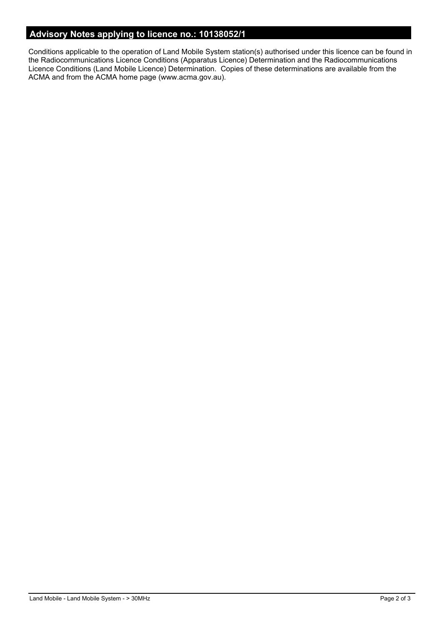### **Advisory Notes applying to licence no.: 10138052/1**

Conditions applicable to the operation of Land Mobile System station(s) authorised under this licence can be found in the Radiocommunications Licence Conditions (Apparatus Licence) Determination and the Radiocommunications Licence Conditions (Land Mobile Licence) Determination. Copies of these determinations are available from the ACMA and from the ACMA home page (www.acma.gov.au).